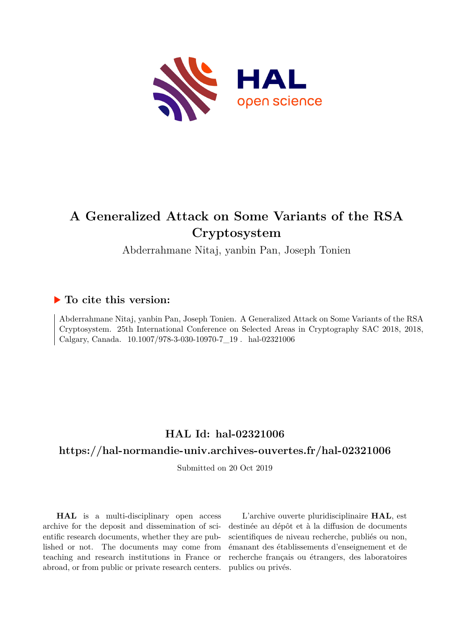

# **A Generalized Attack on Some Variants of the RSA Cryptosystem**

Abderrahmane Nitaj, yanbin Pan, Joseph Tonien

# **To cite this version:**

Abderrahmane Nitaj, yanbin Pan, Joseph Tonien. A Generalized Attack on Some Variants of the RSA Cryptosystem. 25th International Conference on Selected Areas in Cryptography SAC 2018, 2018, Calgary, Canada.  $10.1007/978$ -3-030-10970-7 $\_19$ . hal-02321006

# **HAL Id: hal-02321006**

# **<https://hal-normandie-univ.archives-ouvertes.fr/hal-02321006>**

Submitted on 20 Oct 2019

**HAL** is a multi-disciplinary open access archive for the deposit and dissemination of scientific research documents, whether they are published or not. The documents may come from teaching and research institutions in France or abroad, or from public or private research centers.

L'archive ouverte pluridisciplinaire **HAL**, est destinée au dépôt et à la diffusion de documents scientifiques de niveau recherche, publiés ou non, émanant des établissements d'enseignement et de recherche français ou étrangers, des laboratoires publics ou privés.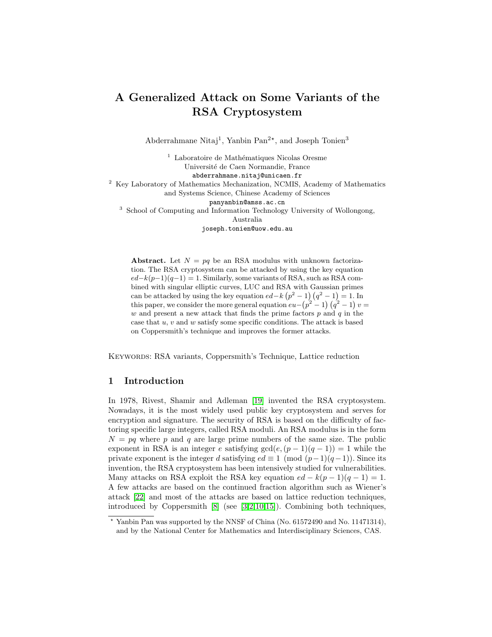# A Generalized Attack on Some Variants of the RSA Cryptosystem

Abderrahmane Nitaj<sup>1</sup>, Yanbin Pan<sup>2\*</sup>, and Joseph Tonien<sup>3</sup>

<sup>1</sup> Laboratoire de Mathématiques Nicolas Oresme Université de Caen Normandie, France abderrahmane.nitaj@unicaen.fr <sup>2</sup> Key Laboratory of Mathematics Mechanization, NCMIS, Academy of Mathematics and Systems Science, Chinese Academy of Sciences panyanbin@amss.ac.cn <sup>3</sup> School of Computing and Information Technology University of Wollongong, Australia joseph.tonien@uow.edu.au

Abstract. Let  $N = pq$  be an RSA modulus with unknown factorization. The RSA cryptosystem can be attacked by using the key equation  $ed-k(p-1)(q-1) = 1$ . Similarly, some variants of RSA, such as RSA combined with singular elliptic curves, LUC and RSA with Gaussian primes can be attacked by using the key equation  $ed-k(p^2-1)(q^2-1)=1$ . In this paper, we consider the more general equation  $eu - (p^2 - 1) (q^2 - 1) v =$  $w$  and present a new attack that finds the prime factors  $p$  and  $q$  in the case that  $u, v$  and  $w$  satisfy some specific conditions. The attack is based on Coppersmith's technique and improves the former attacks.

Keywords: RSA variants, Coppersmith's Technique, Lattice reduction

## 1 Introduction

In 1978, Rivest, Shamir and Adleman [19] invented the RSA cryptosystem. Nowadays, it is the most widely used public key cryptosystem and serves for encryption and signature. The security of RSA is based on the difficulty of factoring specific large integers, called RSA moduli. An RSA modulus is in the form  $N = pq$  where p and q are large prime numbers of the same size. The public exponent in RSA is an integer e satisfying  $gcd(e,(p-1)(q-1)) = 1$  while the private exponent is the integer d satisfying  $ed \equiv 1 \pmod{(p-1)(q-1)}$ . Since its invention, the RSA cryptosystem has been intensively studied for vulnerabilities. Many attacks on RSA exploit the RSA key equation  $ed - k(p-1)(q-1) = 1$ . A few attacks are based on the continued fraction algorithm such as Wiener's attack [22] and most of the attacks are based on lattice reduction techniques, introduced by Coppersmith [8] (see [3,2,10,15]). Combining both techniques,

<sup>?</sup> Yanbin Pan was supported by the NNSF of China (No. 61572490 and No. 11471314), and by the National Center for Mathematics and Interdisciplinary Sciences, CAS.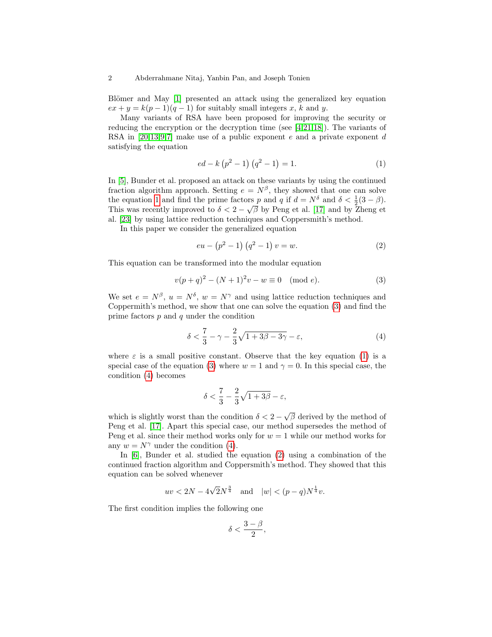Blömer and May [1] presented an attack using the generalized key equation  $ex + y = k(p-1)(q-1)$  for suitably small integers x, k and y.

Many variants of RSA have been proposed for improving the security or reducing the encryption or the decryption time (see [4,21,18]). The variants of RSA in  $[20,13,9,7]$  make use of a public exponent e and a private exponent d satisfying the equation

$$
ed - k (p2 - 1) (q2 - 1) = 1.
$$
 (1)

In [5], Bunder et al. proposed an attack on these variants by using the continued fraction algorithm approach. Setting  $e = N^{\beta}$ , they showed that one can solve the equation 1 and find the prime factors p and q if  $d = N^{\delta}$  and  $\delta < \frac{1}{2}(3 - \beta)$ . This was recently improved to  $\delta < 2 - \sqrt{\beta}$  by Peng et al. [17] and by Zheng et al. [23] by using lattice reduction techniques and Coppersmith's method.

In this paper we consider the generalized equation

$$
eu - (p^2 - 1) (q^2 - 1) v = w.
$$
 (2)

This equation can be transformed into the modular equation

$$
v(p+q)^2 - (N+1)^2 v - w \equiv 0 \pmod{e}.
$$
 (3)

We set  $e = N^{\beta}$ ,  $u = N^{\delta}$ ,  $w = N^{\gamma}$  and using lattice reduction techniques and Coppermith's method, we show that one can solve the equation (3) and find the prime factors  $p$  and  $q$  under the condition

$$
\delta < \frac{7}{3} - \gamma - \frac{2}{3}\sqrt{1 + 3\beta - 3\gamma} - \varepsilon,\tag{4}
$$

where  $\varepsilon$  is a small positive constant. Observe that the key equation (1) is a special case of the equation (3) where  $w = 1$  and  $\gamma = 0$ . In this special case, the condition (4) becomes

$$
\delta<\frac{7}{3}-\frac{2}{3}\sqrt{1+3\beta}-\varepsilon,
$$

which is slightly worst than the condition  $\delta < 2 - \sqrt{\beta}$  derived by the method of Peng et al. [17]. Apart this special case, our method supersedes the method of Peng et al. since their method works only for  $w = 1$  while our method works for any  $w = N^{\gamma}$  under the condition (4).

In [6], Bunder et al. studied the equation (2) using a combination of the continued fraction algorithm and Coppersmith's method. They showed that this equation can be solved whenever

$$
uv < 2N - 4\sqrt{2N^{\frac{3}{4}}}
$$
 and  $|w| < (p-q)N^{\frac{1}{4}}v$ .

The first condition implies the following one

$$
\delta<\frac{3-\beta}{2},
$$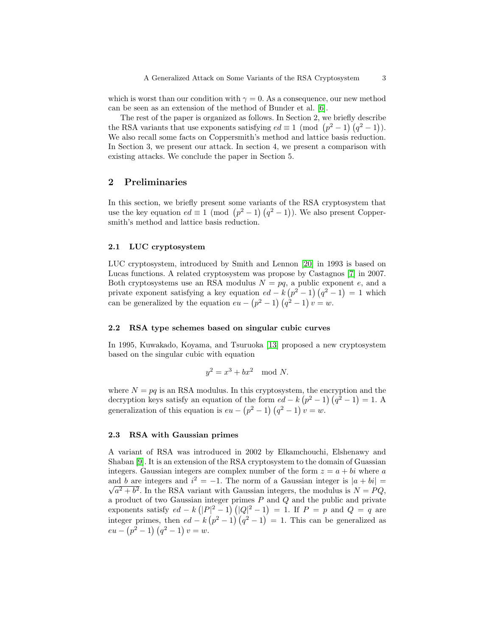which is worst than our condition with  $\gamma = 0$ . As a consequence, our new method can be seen as an extension of the method of Bunder et al. [6].

The rest of the paper is organized as follows. In Section 2, we briefly describe the RSA variants that use exponents satisfying  $ed \equiv 1 \pmod{(p^2-1)(q^2-1)}$ . We also recall some facts on Coppersmith's method and lattice basis reduction. In Section 3, we present our attack. In section 4, we present a comparison with existing attacks. We conclude the paper in Section 5.

# 2 Preliminaries

In this section, we briefly present some variants of the RSA cryptosystem that use the key equation  $ed \equiv 1 \pmod{p^2-1}(q^2-1)$ . We also present Coppersmith's method and lattice basis reduction.

#### 2.1 LUC cryptosystem

LUC cryptosystem, introduced by Smith and Lennon [20] in 1993 is based on Lucas functions. A related cryptosystem was propose by Castagnos [7] in 2007. Both cryptosystems use an RSA modulus  $N = pq$ , a public exponent e, and a private exponent satisfying a key equation  $ed - k (p^2 - 1) (q^2 - 1) = 1$  which can be generalized by the equation  $eu - (p^2 - 1) (q^2 - 1) v = w$ .

#### 2.2 RSA type schemes based on singular cubic curves

In 1995, Kuwakado, Koyama, and Tsuruoka [13] proposed a new cryptosystem based on the singular cubic with equation

$$
y^2 = x^3 + bx^2 \mod N.
$$

where  $N = pq$  is an RSA modulus. In this cryptosystem, the encryption and the decryption keys satisfy an equation of the form  $ed - k (p^2 - 1) (q^2 - 1) = 1$ . A generalization of this equation is  $eu - (p^2 - 1) (q^2 - 1) v = w$ .

#### 2.3 RSA with Gaussian primes

A variant of RSA was introduced in 2002 by Elkamchouchi, Elshenawy and Shaban [9]. It is an extension of the RSA cryptosystem to the domain of Guassian integers. Gaussian integers are complex number of the form  $z = a + bi$  where a and b are integers and  $i^2 = -1$ . The norm of a Gaussian integer is  $|a + bi| =$  $a^2 + b^2$ . In the RSA variant with Gaussian integers, the modulus is  $N = PQ$ , a product of two Gaussian integer primes  $P$  and  $Q$  and the public and private exponents satisfy  $ed - k (|P|^2 - 1) (|Q|^2 - 1) = 1$ . If  $P = p$  and  $Q = q$  are integer primes, then  $ed - k (p^2 - 1) (q^2 - 1) = 1$ . This can be generalized as  $eu - (p^2 - 1) (q^2 - 1) v = w.$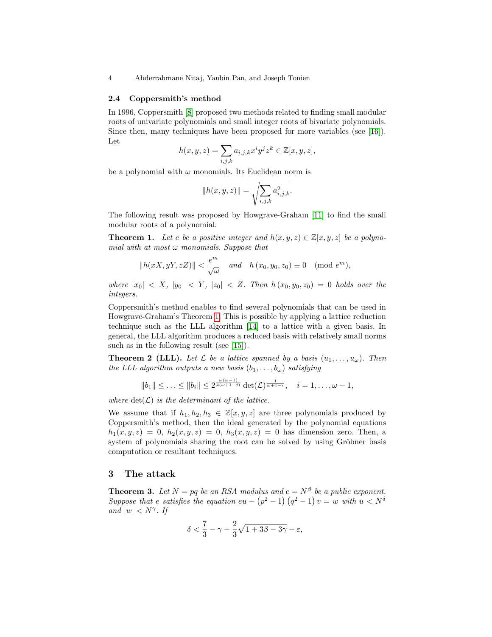#### 2.4 Coppersmith's method

In 1996, Coppersmith [8] proposed two methods related to finding small modular roots of univariate polynomials and small integer roots of bivariate polynomials. Since then, many techniques have been proposed for more variables (see [16]). Let

$$
h(x, y, z) = \sum_{i,j,k} a_{i,j,k} x^i y^j z^k \in \mathbb{Z}[x, y, z],
$$

be a polynomial with  $\omega$  monomials. Its Euclidean norm is

$$
||h(x, y, z)|| = \sqrt{\sum_{i,j,k} a_{i,j,k}^2}.
$$

The following result was proposed by Howgrave-Graham [11] to find the small modular roots of a polynomial.

**Theorem 1.** Let e be a positive integer and  $h(x, y, z) \in \mathbb{Z}[x, y, z]$  be a polynomial with at most  $\omega$  monomials. Suppose that

$$
||h(xX, yY, zZ)|| < \frac{e^m}{\sqrt{\omega}} \quad and \quad h(x_0, y_0, z_0) \equiv 0 \pmod{e^m},
$$

where  $|x_0| < X$ ,  $|y_0| < Y$ ,  $|z_0| < Z$ . Then  $h(x_0, y_0, z_0) = 0$  holds over the integers.

Coppersmith's method enables to find several polynomials that can be used in Howgrave-Graham's Theorem 1. This is possible by applying a lattice reduction technique such as the LLL algorithm [14] to a lattice with a given basis. In general, the LLL algorithm produces a reduced basis with relatively small norms such as in the following result (see [15]).

**Theorem 2 (LLL).** Let  $\mathcal{L}$  be a lattice spanned by a basis  $(u_1, \ldots, u_\omega)$ . Then the LLL algorithm outputs a new basis  $(b_1, \ldots, b_\omega)$  satisfying

$$
||b_1|| \leq \ldots \leq ||b_i|| \leq 2^{\frac{\omega(\omega-1)}{4(\omega+1-i)}} \det(\mathcal{L})^{\frac{1}{\omega+1-i}}, \quad i=1,\ldots,\omega-1,
$$

where  $\det(\mathcal{L})$  is the determinant of the lattice.

We assume that if  $h_1, h_2, h_3 \in \mathbb{Z}[x, y, z]$  are three polynomials produced by Coppersmith's method, then the ideal generated by the polynomial equations  $h_1(x, y, z) = 0, h_2(x, y, z) = 0, h_3(x, y, z) = 0$  has dimension zero. Then, a system of polynomials sharing the root can be solved by using Gröbner basis computation or resultant techniques.

### 3 The attack

**Theorem 3.** Let  $N = pq$  be an RSA modulus and  $e = N^{\beta}$  be a public exponent. Suppose that e satisfies the equation  $eu - (p^2 - 1) (q^2 - 1) v = w$  with  $u < N^{\delta}$ and  $|w| < N^{\gamma}$ . If

$$
\delta < \frac{7}{3} - \gamma - \frac{2}{3}\sqrt{1 + 3\beta - 3\gamma} - \varepsilon,
$$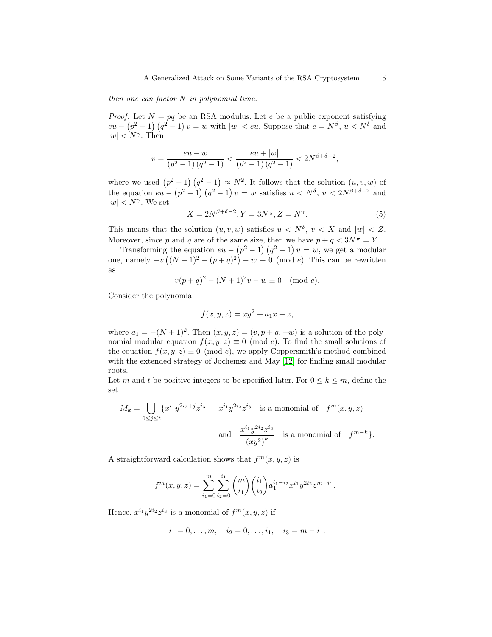then one can factor  $N$  in polynomial time.

*Proof.* Let  $N = pq$  be an RSA modulus. Let e be a public exponent satisfying  $eu - (p^2 - 1) (q^2 - 1) v = w$  with  $|w| < eu$ . Suppose that  $e = N^{\beta}, u < N^{\delta}$  and  $|w| < N^{\gamma}$ . Then

$$
v = \frac{eu - w}{(p^2 - 1)(q^2 - 1)} < \frac{eu + |w|}{(p^2 - 1)(q^2 - 1)} < 2N^{\beta + \delta - 2},
$$

where we used  $(p^2-1)(q^2-1) \approx N^2$ . It follows that the solution  $(u, v, w)$  of the equation  $eu - (p^2 - 1) (q^2 - 1) v = w$  satisfies  $u \lt N^{\delta}$ ,  $v \lt 2N^{\beta + \delta - 2}$  and  $|w| < N^{\gamma}$ . We set

$$
X = 2N^{\beta + \delta - 2}, Y = 3N^{\frac{1}{2}}, Z = N^{\gamma}.
$$
 (5)

This means that the solution  $(u, v, w)$  satisfies  $u < N^{\delta}$ ,  $v < X$  and  $|w| < Z$ . Moreover, since p and q are of the same size, then we have  $p + q < 3N^{\frac{1}{2}} = Y$ .

Transforming the equation  $eu - (p^2 - 1) (q^2 - 1) v = w$ , we get a modular one, namely  $-v((N+1)^2-(p+q)^2)-w\equiv 0 \pmod{e}$ . This can be rewritten as

$$
v(p+q)^2 - (N+1)^2 v - w \equiv 0 \pmod{e}.
$$

Consider the polynomial

$$
f(x, y, z) = xy^2 + a_1 x + z,
$$

where  $a_1 = -(N + 1)^2$ . Then  $(x, y, z) = (v, p + q, -w)$  is a solution of the polynomial modular equation  $f(x, y, z) \equiv 0 \pmod{e}$ . To find the small solutions of the equation  $f(x, y, z) \equiv 0 \pmod{e}$ , we apply Coppersmith's method combined with the extended strategy of Jochemsz and May [12] for finding small modular roots.

Let m and t be positive integers to be specified later. For  $0 \leq k \leq m$ , define the set

$$
M_k = \bigcup_{0 \le j \le t} \{x^{i_1} y^{2i_2 + j} z^{i_3} \mid x^{i_1} y^{2i_2} z^{i_3} \text{ is a monomial of } f^m(x, y, z)
$$
  
and 
$$
\frac{x^{i_1} y^{2i_2} z^{i_3}}{(xy^2)^k} \text{ is a monomial of } f^{m-k} \}.
$$

A straightforward calculation shows that  $f^m(x, y, z)$  is

$$
f^{m}(x, y, z) = \sum_{i_{1}=0}^{m} \sum_{i_{2}=0}^{i_{1}} {m \choose i_{1}} {i_{1} \choose i_{2}} a_{1}^{i_{1} - i_{2}} x^{i_{1}} y^{2 i_{2}} z^{m-i_{1}}.
$$

Hence,  $x^{i_1}y^{2i_2}z^{i_3}$  is a monomial of  $f^m(x, y, z)$  if

$$
i_1 = 0, ..., m, \quad i_2 = 0, ..., i_1, \quad i_3 = m - i_1.
$$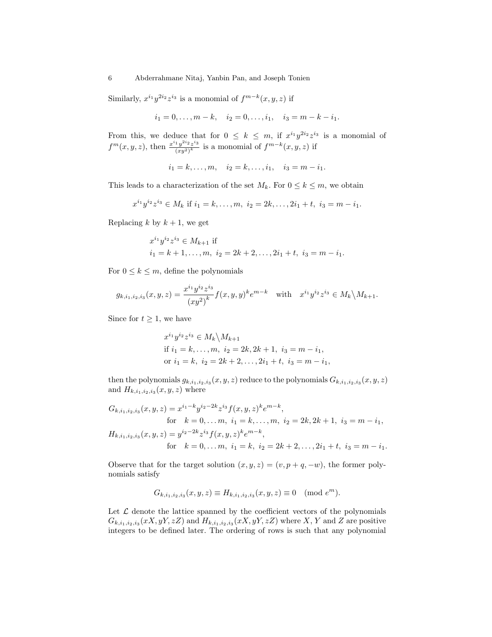Similarly,  $x^{i_1}y^{2i_2}z^{i_3}$  is a monomial of  $f^{m-k}(x, y, z)$  if

$$
i_1 = 0, ..., m - k
$$
,  $i_2 = 0, ..., i_1$ ,  $i_3 = m - k - i_1$ .

From this, we deduce that for  $0 \leq k \leq m$ , if  $x^{i_1}y^{2i_2}z^{i_3}$  is a monomial of  $f^{m}(x, y, z)$ , then  $\frac{x^{i_1}y^{2i_2}z^{i_3}}{(x,z)^k}$  $\frac{f_1y^{2i_2}z^{i_3}}{(xy^2)^k}$  is a monomial of  $f^{m-k}(x, y, z)$  if

$$
i_1 = k, ..., m, \quad i_2 = k, ..., i_1, \quad i_3 = m - i_1.
$$

This leads to a characterization of the set  $M_k$ . For  $0 \leq k \leq m$ , we obtain

$$
x^{i_1}y^{i_2}z^{i_3} \in M_k \text{ if } i_1 = k, \dots, m, \ i_2 = 2k, \dots, 2i_1 + t, \ i_3 = m - i_1.
$$

Replacing k by  $k + 1$ , we get

$$
x^{i_1}y^{i_2}z^{i_3} \in M_{k+1}
$$
 if  
\n
$$
i_1 = k+1, \dots, m, \ i_2 = 2k+2, \dots, 2i_1 + t, \ i_3 = m - i_1.
$$

For  $0 \leq k \leq m$ , define the polynomials

$$
g_{k,i_1,i_2,i_3}(x,y,z) = \frac{x^{i_1}y^{i_2}z^{i_3}}{(xy^2)^k} f(x,y,y)^k e^{m-k} \text{ with } x^{i_1}y^{i_2}z^{i_3} \in M_k \backslash M_{k+1}.
$$

Since for  $t \geq 1$ , we have

$$
x^{i_1}y^{i_2}z^{i_3} \in M_k \backslash M_{k+1}
$$
  
if  $i_1 = k, ..., m, i_2 = 2k, 2k + 1, i_3 = m - i_1$ ,  
or  $i_1 = k, i_2 = 2k + 2, ..., 2i_1 + t, i_3 = m - i_1$ ,

then the polynomials  $g_{k,i_1,i_2,i_3}(x,y,z)$  reduce to the polynomials  $G_{k,i_1,i_2,i_3}(x,y,z)$ and  $H_{k,i_1,i_2,i_3}(x, y, z)$  where

$$
G_{k,i_1,i_2,i_3}(x,y,z) = x^{i_1-k} y^{i_2-2k} z^{i_3} f(x,y,z)^k e^{m-k},
$$
  
for  $k = 0,...m, i_1 = k,..., m, i_2 = 2k, 2k + 1, i_3 = m - i_1,$   

$$
H_{k,i_1,i_2,i_3}(x,y,z) = y^{i_2-2k} z^{i_3} f(x,y,z)^k e^{m-k},
$$
  
for  $k = 0,...m, i_1 = k, i_2 = 2k + 2,..., 2i_1 + t, i_3 = m - i_1.$ 

Observe that for the target solution  $(x, y, z) = (v, p + q, -w)$ , the former polynomials satisfy

$$
G_{k,i_1,i_2,i_3}(x,y,z) \equiv H_{k,i_1,i_2,i_3}(x,y,z) \equiv 0 \pmod{e^m}.
$$

Let  $\mathcal L$  denote the lattice spanned by the coefficient vectors of the polynomials  $G_{k,i_1,i_2,i_3}(xX, yY, zZ)$  and  $H_{k,i_1,i_2,i_3}(xX, yY, zZ)$  where X, Y and Z are positive integers to be defined later. The ordering of rows is such that any polynomial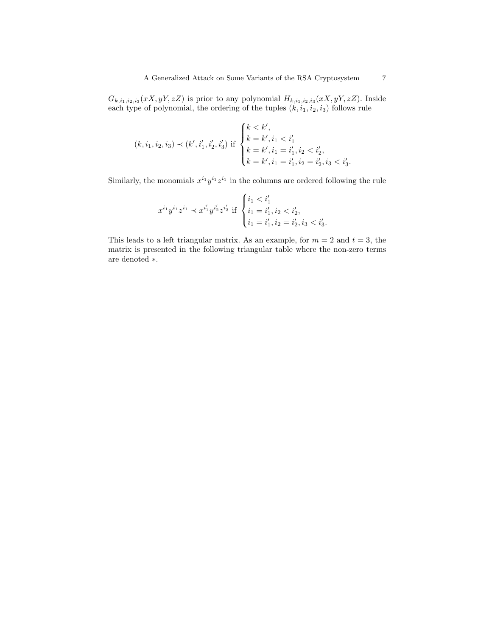$G_{k,i_1,i_2,i_3}(xX,yY,zZ)$  is prior to any polynomial  $H_{k,i_1,i_2,i_3}(xX,yY,zZ)$ . Inside each type of polynomial, the ordering of the tuples  $(k, i_1, i_2, i_3)$  follows rule

$$
(k, i_1, i_2, i_3) \prec (k', i'_1, i'_2, i'_3) \text{ if } \begin{cases} k < k', \\ k = k', i_1 < i'_1 \\ k = k', i_1 = i'_1, i_2 < i'_2, \\ k = k', i_1 = i'_1, i_2 = i'_2, i_3 < i'_3. \end{cases}
$$

Similarly, the monomials  $x^{i_1}y^{i_1}z^{i_1}$  in the columns are ordered following the rule

$$
x^{i_1}y^{i_1}z^{i_1} \prec x^{i'_1}y^{i'_2}z^{i'_3} \text{ if } \begin{cases} i_1 < i'_1 \\ i_1 = i'_1, i_2 < i'_2, \\ i_1 = i'_1, i_2 = i'_2, i_3 < i'_3. \end{cases}
$$

This leads to a left triangular matrix. As an example, for  $m = 2$  and  $t = 3$ , the matrix is presented in the following triangular table where the non-zero terms are denoted ∗.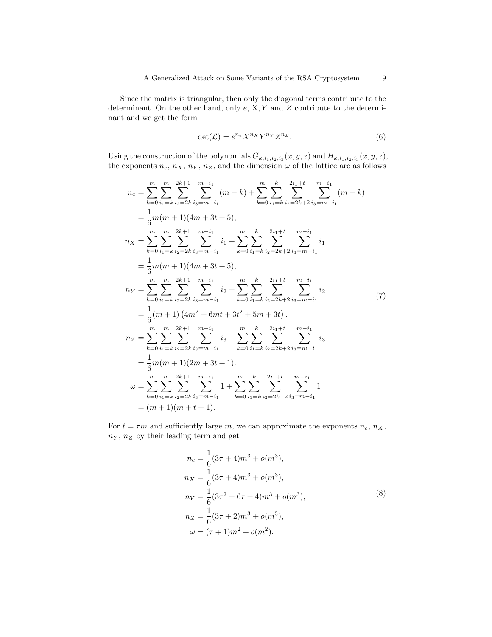Since the matrix is triangular, then only the diagonal terms contribute to the determinant. On the other hand, only  $e$ ,  $X, Y$  and  $Z$  contribute to the determinant and we get the form

$$
\det(\mathcal{L}) = e^{n_e} X^{n_X} Y^{n_Y} Z^{n_Z}.
$$
\n(6)

Using the construction of the polynomials  $G_{k,i_1,i_2,i_3}(x,y,z)$  and  $H_{k,i_1,i_2,i_3}(x,y,z)$ , the exponents  $n_e$ ,  $n_X$ ,  $n_Y$ ,  $n_Z$ , and the dimension  $\omega$  of the lattice are as follows

$$
n_{e} = \sum_{k=0}^{m} \sum_{i_{1}=k}^{m} \sum_{i_{2}=2k}^{2k+1} \sum_{i_{3}=m-i_{1}}^{m-i_{1}} (m-k) + \sum_{k=0}^{m} \sum_{i_{1}=k}^{k} \sum_{i_{2}=2k+2}^{2i_{1}+t} \sum_{i_{3}=m-i_{1}}^{m-i_{1}} (m-k)
$$
  
\n
$$
= \frac{1}{6}m(m+1)(4m+3t+5),
$$
  
\n
$$
n_{X} = \sum_{k=0}^{m} \sum_{i_{1}=k}^{m} \sum_{i_{2}=2k}^{2k+1} \sum_{i_{3}=m-i_{1}}^{m-i_{1}} i_{1} + \sum_{k=0}^{m} \sum_{i_{1}=k}^{k} \sum_{i_{2}=2k+2}^{2i_{1}+t} \sum_{i_{3}=m-i_{1}}^{m-i_{1}} i_{1}
$$
  
\n
$$
= \frac{1}{6}m(m+1)(4m+3t+5),
$$
  
\n
$$
n_{Y} = \sum_{k=0}^{m} \sum_{i_{1}=k}^{m} \sum_{i_{2}=2k}^{2k+1} \sum_{i_{3}=m-i_{1}}^{m-i_{1}} i_{2} + \sum_{k=0}^{m} \sum_{i_{1}=k}^{k} \sum_{i_{2}=2k+2}^{2i_{1}+t} \sum_{i_{3}=m-i_{1}}^{m-i_{1}} i_{2}
$$
  
\n
$$
= \frac{1}{6}(m+1)(4m^{2}+6mt+3t^{2}+5m+3t),
$$
  
\n
$$
n_{Z} = \sum_{k=0}^{m} \sum_{i_{1}=k}^{m} \sum_{i_{2}=2k}^{2k+1} \sum_{i_{3}=m-i_{1}}^{m-i_{1}} i_{3} + \sum_{k=0}^{m} \sum_{i_{1}=k}^{k} \sum_{i_{2}=2k+2}^{2i_{1}+t} \sum_{i_{3}=m-i_{1}}^{m-i_{1}} i_{3}
$$
  
\n
$$
= \frac{1}{6}m(m+1)(2m+3t+1).
$$
  
\n
$$
\omega = \sum_{k=0}^{m} \sum_{i_{1}=k}^{m} \sum_{i_{2}=2k}^{2k+1} \sum_{i_{3}=m
$$

For  $t = \tau m$  and sufficiently large m, we can approximate the exponents  $n_e$ ,  $n_X$ ,  $n_Y$ ,  $n_Z$  by their leading term and get

$$
n_e = \frac{1}{6}(3\tau + 4)m^3 + o(m^3),
$$
  
\n
$$
n_X = \frac{1}{6}(3\tau + 4)m^3 + o(m^3),
$$
  
\n
$$
n_Y = \frac{1}{6}(3\tau^2 + 6\tau + 4)m^3 + o(m^3),
$$
  
\n
$$
n_Z = \frac{1}{6}(3\tau + 2)m^3 + o(m^3),
$$
  
\n
$$
\omega = (\tau + 1)m^2 + o(m^2).
$$
  
\n(8)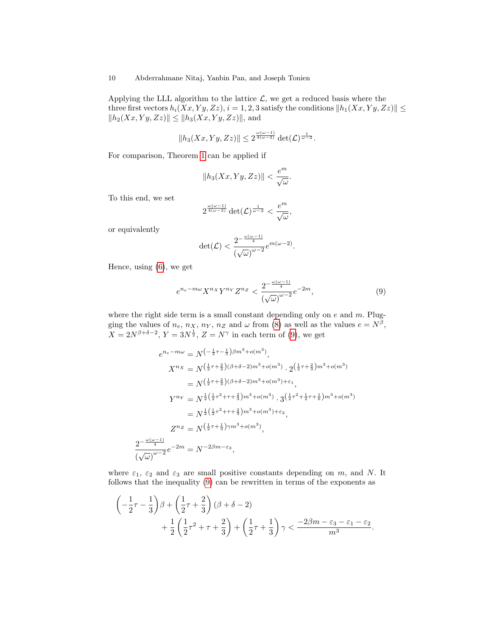Applying the LLL algorithm to the lattice  $\mathcal{L}$ , we get a reduced basis where the three first vectors  $h_i(Xx, Yy, Zz), i = 1, 2, 3$  satisfy the conditions  $||h_1(Xx, Yy, Zz)|| \le$  $||h_2(Xx, Yy, Zz)|| \leq ||h_3(Xx, Yy, Zz)||$ , and

$$
||h_3(Xx,Yy,Zz)|| \leq 2^{\frac{\omega(\omega-1)}{4(\omega-2)}}\det(\mathcal{L})^{\frac{1}{\omega-2}}.
$$

For comparison, Theorem 1 can be applied if

$$
||h_3(Xx,Yy,Zz)|| < \frac{e^m}{\sqrt{\omega}}.
$$

To this end, we set

$$
2^{\frac{\omega(\omega-1)}{4(\omega-2)}}\det(\mathcal{L})^{\frac{1}{\omega-2}}<\frac{e^m}{\sqrt{\omega}},
$$

or equivalently

$$
\det(\mathcal{L}) < \frac{2^{-\frac{\omega(\omega-1)}{4}}}{\left(\sqrt{\omega}\right)^{\omega-2}} e^{m(\omega-2)}.
$$

Hence, using (6), we get

$$
e^{n_e - m\omega} X^{n_X} Y^{n_Y} Z^{n_Z} < \frac{2^{-\frac{\omega(\omega - 1)}{4}}}{\left(\sqrt{\omega}\right)^{\omega - 2}} e^{-2m},\tag{9}
$$

where the right side term is a small constant depending only on  $e$  and  $m$ . Plugging the values of  $n_e$ ,  $n_X$ ,  $n_Y$ ,  $n_Z$  and  $\omega$  from (8) as well as the values  $e = N^{\beta}$ ,  $X = 2N^{\beta+\delta-2}$ ,  $Y = 3N^{\frac{1}{2}}$ ,  $Z = N^{\gamma}$  in each term of (9), we get

$$
e^{n_e - m\omega} = N^{\left(-\frac{1}{2}\tau - \frac{1}{3}\right)\beta m^3 + o(m^3)},
$$
  
\n
$$
X^{n_X} = N^{\left(\frac{1}{2}\tau + \frac{2}{3}\right)(\beta + \delta - 2)m^3 + o(m^3)} \cdot 2^{\left(\frac{1}{2}\tau + \frac{2}{3}\right)m^3 + o(m^3)}
$$
  
\n
$$
= N^{\left(\frac{1}{2}\tau + \frac{2}{3}\right)(\beta + \delta - 2)m^3 + o(m^3) + \varepsilon_1},
$$
  
\n
$$
Y^{n_Y} = N^{\frac{1}{2}\left(\frac{1}{2}\tau^2 + \tau + \frac{2}{3}\right)m^3 + o(m^3)} \cdot 3^{\left(\frac{1}{2}\tau^2 + \frac{1}{2}\tau + \frac{1}{6}\right)m^3 + o(m^3)}
$$
  
\n
$$
= N^{\frac{1}{2}\left(\frac{1}{2}\tau^2 + \tau + \frac{2}{3}\right)m^3 + o(m^3) + \varepsilon_2},
$$
  
\n
$$
Z^{n_Z} = N^{\left(\frac{1}{2}\tau + \frac{1}{3}\right)\gamma m^3 + o(m^3)},
$$
  
\n
$$
\frac{2^{-\frac{\omega(\omega - 1)}{4}}}{(\sqrt{\omega})^{\omega - 2}} e^{-2m} = N^{-2\beta m - \varepsilon_3},
$$

where  $\varepsilon_1$ ,  $\varepsilon_2$  and  $\varepsilon_3$  are small positive constants depending on m, and N. It follows that the inequality (9) can be rewritten in terms of the exponents as

$$
\begin{aligned}\n&\left(-\frac{1}{2}\tau-\frac{1}{3}\right)\beta+\left(\frac{1}{2}\tau+\frac{2}{3}\right)(\beta+\delta-2)\\
&+\frac{1}{2}\left(\frac{1}{2}\tau^2+\tau+\frac{2}{3}\right)+\left(\frac{1}{2}\tau+\frac{1}{3}\right)\gamma<\frac{-2\beta m-\varepsilon_3-\varepsilon_1-\varepsilon_2}{m^3}.\n\end{aligned}
$$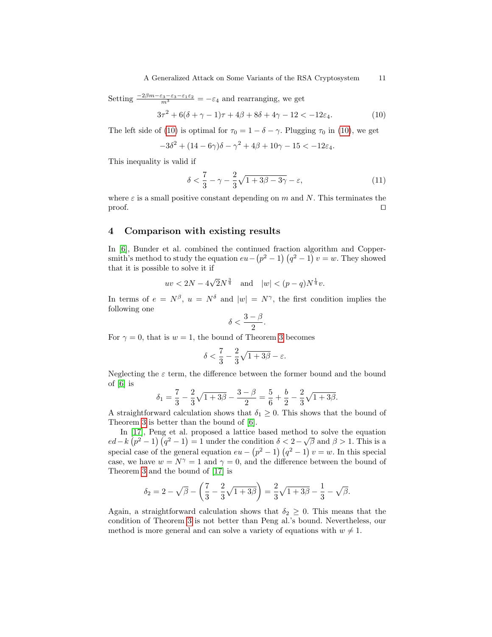Setting  $\frac{-2\beta m - \varepsilon_3 - \varepsilon_3 - \varepsilon_1 \varepsilon_2}{m^3} = -\varepsilon_4$  and rearranging, we get

$$
3\tau^2 + 6(\delta + \gamma - 1)\tau + 4\beta + 8\delta + 4\gamma - 12 < -12\varepsilon_4. \tag{10}
$$

The left side of (10) is optimal for  $\tau_0 = 1 - \delta - \gamma$ . Plugging  $\tau_0$  in (10), we get

$$
-3\delta^2 + (14 - 6\gamma)\delta - \gamma^2 + 4\beta + 10\gamma - 15 < -12\varepsilon_4.
$$

This inequality is valid if

$$
\delta < \frac{7}{3} - \gamma - \frac{2}{3}\sqrt{1 + 3\beta - 3\gamma} - \varepsilon,\tag{11}
$$

where  $\varepsilon$  is a small positive constant depending on m and N. This terminates the  $\Box$  proof.

### 4 Comparison with existing results

In [6], Bunder et al. combined the continued fraction algorithm and Coppersmith's method to study the equation  $eu - (p^2 - 1) (q^2 - 1) v = w$ . They showed that it is possible to solve it if

$$
uv < 2N - 4\sqrt{2N^{\frac{3}{4}}}
$$
 and  $|w| < (p-q)N^{\frac{1}{4}}v$ .

In terms of  $e = N^{\beta}$ ,  $u = N^{\delta}$  and  $|w| = N^{\gamma}$ , the first condition implies the following one

$$
\delta<\frac{3-\beta}{2}.
$$

For  $\gamma = 0$ , that is  $w = 1$ , the bound of Theorem 3 becomes

$$
\delta < \frac{7}{3} - \frac{2}{3}\sqrt{1+3\beta} - \varepsilon.
$$

Neglecting the  $\varepsilon$  term, the difference between the former bound and the bound of  $[6]$  is

$$
\delta_1 = \frac{7}{3} - \frac{2}{3}\sqrt{1+3\beta} - \frac{3-\beta}{2} = \frac{5}{6} + \frac{b}{2} - \frac{2}{3}\sqrt{1+3\beta}.
$$

A straightforward calculation shows that  $\delta_1 \geq 0$ . This shows that the bound of Theorem 3 is better than the bound of [6].

In [17], Peng et al. proposed a lattice based method to solve the equation  $ed - k (p^2 - 1) (q^2 - 1) = 1$  under the condition  $\delta < 2 - \sqrt{\beta}$  and  $\beta > 1$ . This is a special case of the general equation  $eu - (p^2 - 1) (q^2 - 1) v = w$ . In this special case, we have  $w = N^{\gamma} = 1$  and  $\gamma = 0$ , and the difference between the bound of Theorem 3 and the bound of [17] is

$$
\delta_2 = 2 - \sqrt{\beta} - \left(\frac{7}{3} - \frac{2}{3}\sqrt{1+3\beta}\right) = \frac{2}{3}\sqrt{1+3\beta} - \frac{1}{3} - \sqrt{\beta}.
$$

Again, a straightforward calculation shows that  $\delta_2 \geq 0$ . This means that the condition of Theorem 3 is not better than Peng al.'s bound. Nevertheless, our method is more general and can solve a variety of equations with  $w \neq 1$ .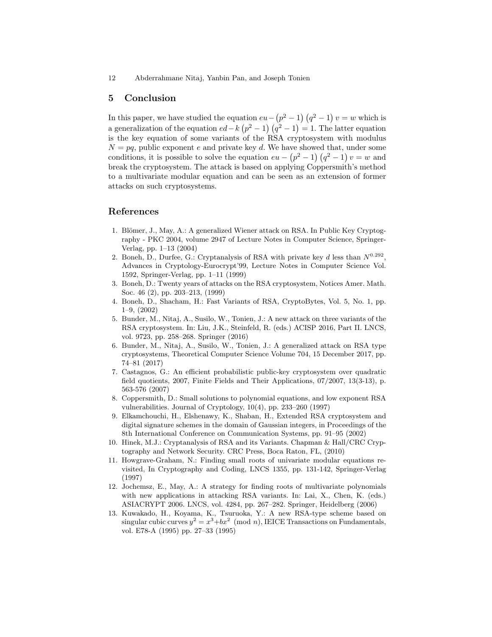## 5 Conclusion

In this paper, we have studied the equation  $eu - (p^2 - 1) (q^2 - 1) v = w$  which is a generalization of the equation  $ed - k (p^2 - 1) (q^2 - 1) = 1$ . The latter equation is the key equation of some variants of the RSA cryptosystem with modulus  $N = pq$ , public exponent e and private key d. We have showed that, under some conditions, it is possible to solve the equation  $eu - (p^2 - 1) (q^2 - 1) v = w$  and break the cryptosystem. The attack is based on applying Coppersmith's method to a multivariate modular equation and can be seen as an extension of former attacks on such cryptosystems.

## References

- 1. Blömer, J., May, A.: A generalized Wiener attack on RSA. In Public Key Cryptography - PKC 2004, volume 2947 of Lecture Notes in Computer Science, Springer-Verlag, pp. 1–13 (2004)
- 2. Boneh, D., Durfee, G.: Cryptanalysis of RSA with private key d less than  $N^{0.292}$ , Advances in Cryptology-Eurocrypt'99, Lecture Notes in Computer Science Vol. 1592, Springer-Verlag, pp. 1–11 (1999)
- 3. Boneh, D.: Twenty years of attacks on the RSA cryptosystem, Notices Amer. Math. Soc. 46 (2), pp. 203–213, (1999)
- 4. Boneh, D., Shacham, H.: Fast Variants of RSA, CryptoBytes, Vol. 5, No. 1, pp. 1–9, (2002)
- 5. Bunder, M., Nitaj, A., Susilo, W., Tonien, J.: A new attack on three variants of the RSA cryptosystem. In: Liu, J.K., Steinfeld, R. (eds.) ACISP 2016, Part II. LNCS, vol. 9723, pp. 258–268. Springer (2016)
- 6. Bunder, M., Nitaj, A., Susilo, W., Tonien, J.: A generalized attack on RSA type cryptosystems, Theoretical Computer Science Volume 704, 15 December 2017, pp. 74–81 (2017)
- 7. Castagnos, G.: An efficient probabilistic public-key cryptosystem over quadratic field quotients, 2007, Finite Fields and Their Applications, 07/2007, 13(3-13), p. 563-576 (2007)
- 8. Coppersmith, D.: Small solutions to polynomial equations, and low exponent RSA vulnerabilities. Journal of Cryptology, 10(4), pp. 233–260 (1997)
- 9. Elkamchouchi, H., Elshenawy, K., Shaban, H., Extended RSA cryptosystem and digital signature schemes in the domain of Gaussian integers, in Proceedings of the 8th International Conference on Communication Systems, pp. 91–95 (2002)
- 10. Hinek, M.J.: Cryptanalysis of RSA and its Variants. Chapman & Hall/CRC Cryptography and Network Security. CRC Press, Boca Raton, FL, (2010)
- 11. Howgrave-Graham, N.: Finding small roots of univariate modular equations revisited, In Cryptography and Coding, LNCS 1355, pp. 131-142, Springer-Verlag (1997)
- 12. Jochemsz, E., May, A.: A strategy for finding roots of multivariate polynomials with new applications in attacking RSA variants. In: Lai, X., Chen, K. (eds.) ASIACRYPT 2006. LNCS, vol. 4284, pp. 267–282. Springer, Heidelberg (2006)
- 13. Kuwakado, H., Koyama, K., Tsuruoka, Y.: A new RSA-type scheme based on singular cubic curves  $y^2 = x^3 + bx^2 \pmod{n}$ , IEICE Transactions on Fundamentals, vol. E78-A (1995) pp. 27–33 (1995)